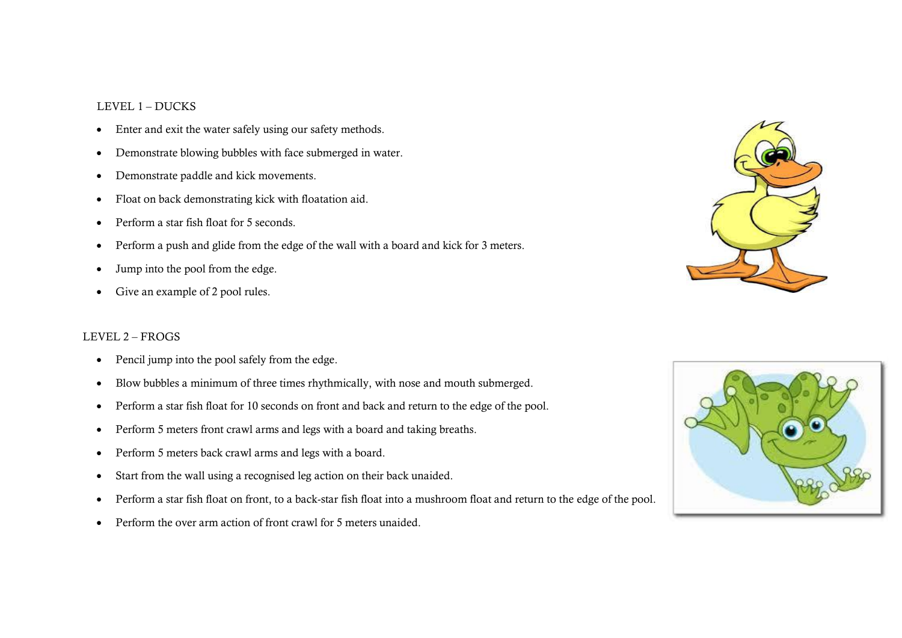#### LEVEL 1 – DUCKS

- Enter and exit the water safely using our safety methods.
- Demonstrate blowing bubbles with face submerged in water.
- Demonstrate paddle and kick movements.
- Float on back demonstrating kick with floatation aid.
- Perform a star fish float for 5 seconds.
- Perform a push and glide from the edge of the wall with a board and kick for 3 meters.
- Jump into the pool from the edge.
- Give an example of 2 pool rules.

### LEVEL 2 – FROGS

- Pencil jump into the pool safely from the edge.
- Blow bubbles a minimum of three times rhythmically, with nose and mouth submerged.
- Perform a star fish float for 10 seconds on front and back and return to the edge of the pool.
- Perform 5 meters front crawl arms and legs with a board and taking breaths.
- Perform 5 meters back crawl arms and legs with a board.
- Start from the wall using a recognised leg action on their back unaided.
- Perform a star fish float on front, to a back-star fish float into a mushroom float and return to the edge of the pool.
- Perform the over arm action of front crawl for 5 meters unaided.



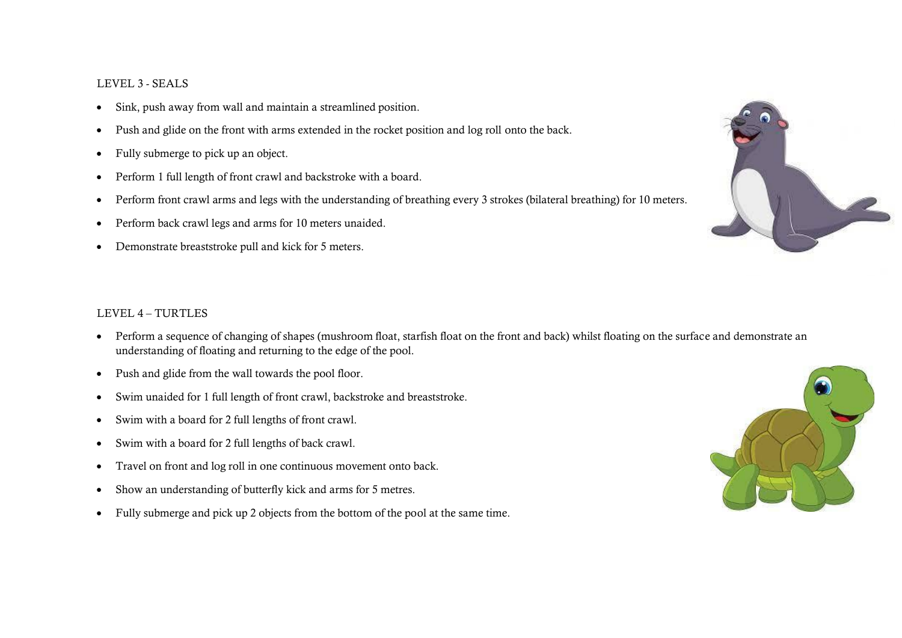## LEVEL 3 - SEALS

- Sink, push away from wall and maintain a streamlined position.
- Push and glide on the front with arms extended in the rocket position and log roll onto the back.
- Fully submerge to pick up an object.
- Perform 1 full length of front crawl and backstroke with a board.
- Perform front crawl arms and legs with the understanding of breathing every 3 strokes (bilateral breathing) for 10 meters.
- Perform back crawl legs and arms for 10 meters unaided.
- Demonstrate breaststroke pull and kick for 5 meters.

# LEVEL 4 – TURTLES

- Perform a sequence of changing of shapes (mushroom float, starfish float on the front and back) whilst floating on the surface and demonstrate an understanding of floating and returning to the edge of the pool.
- Push and glide from the wall towards the pool floor.
- Swim unaided for 1 full length of front crawl, backstroke and breaststroke.
- Swim with a board for 2 full lengths of front crawl.
- Swim with a board for 2 full lengths of back crawl.
- Travel on front and log roll in one continuous movement onto back.
- Show an understanding of butterfly kick and arms for 5 metres.
- Fully submerge and pick up 2 objects from the bottom of the pool at the same time.